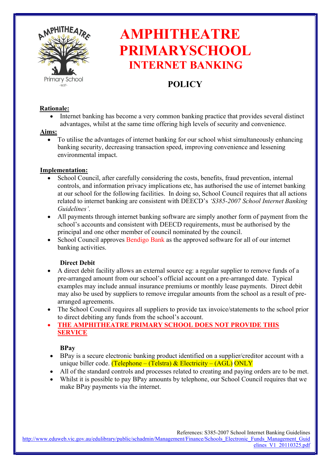

# AMPHITHEATRE PRIMARYSCHOOL INTERNET BANKING

## **POLICY**

#### Rationale:

 Internet banking has become a very common banking practice that provides several distinct advantages, whilst at the same time offering high levels of security and convenience.

#### Aims:

 To utilise the advantages of internet banking for our school whist simultaneously enhancing banking security, decreasing transaction speed, improving convenience and lessening environmental impact.

#### Implementation:

- School Council, after carefully considering the costs, benefits, fraud prevention, internal controls, and information privacy implications etc, has authorised the use of internet banking at our school for the following facilities. In doing so, School Council requires that all actions related to internet banking are consistent with DEECD's 'S385-2007 School Internet Banking Guidelines'.
- All payments through internet banking software are simply another form of payment from the school's accounts and consistent with DEECD requirements, must be authorised by the principal and one other member of council nominated by the council.
- School Council approves Bendigo Bank as the approved software for all of our internet banking activities.

#### Direct Debit

- A direct debit facility allows an external source eg: a regular supplier to remove funds of a pre-arranged amount from our school's official account on a pre-arranged date. Typical examples may include annual insurance premiums or monthly lease payments. Direct debit may also be used by suppliers to remove irregular amounts from the school as a result of prearranged agreements.
- The School Council requires all suppliers to provide tax invoice/statements to the school prior to direct debiting any funds from the school's account.
- THE AMPHITHEATRE PRIMARY SCHOOL DOES NOT PROVIDE THIS **SERVICE**

#### BPay

- BPay is a secure electronic banking product identified on a supplier/creditor account with a unique biller code. (Telephone – (Telstra) & Electricity – (AGL) ONLY
- All of the standard controls and processes related to creating and paying orders are to be met.
- Whilst it is possible to pay BPay amounts by telephone, our School Council requires that we make BPay payments via the internet.

http://www.eduweb.vic.gov.au/edulibrary/public/schadmin/Management/Finance/Schools\_Electronic\_Funds\_Management\_Guid elines\_V1\_20110325.pdf